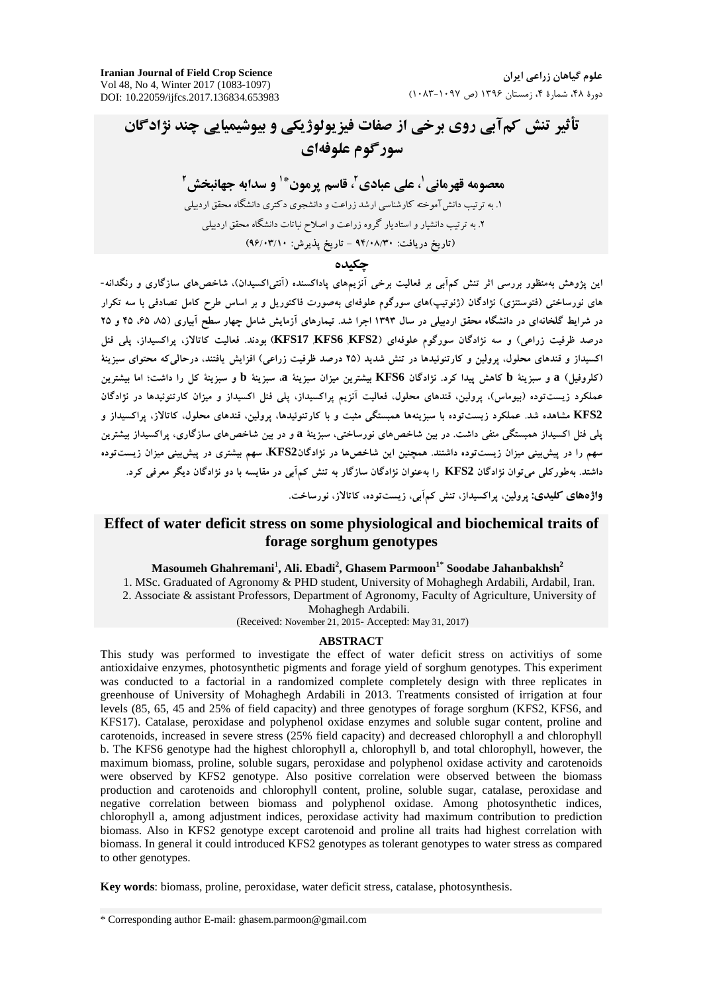**Iranian Journal of Field Crop Science** Vol 48, No 4, Winter 2017 (1083-1097) DOI: 10.22059/ijfcs.2017.136834.653983

## تأثير تنش كمآبي روي برخي از صفات فيزيولوژيكي و بيوشيميايي چند نژادگان سورگوم علوفهای

# معصومه قهرماني'، علي عبادي'، قاسم يرمون\*' و سدايه جهانبخش '

۱. به ترتیب دانش آموخته کارشناسی ارشد زراعت و دانشجوی دکتری دانشگاه محقق اردبیلی ۲. به ترتیب دانشیار و استادیار گروه زراعت و اصلاح نباتات دانشگاه محقق اردبیلی (تاریخ دریافت: ۹۴/۰۸/۳۰ – تاریخ پذیرش: ۹۶/۰۳/۱۰)

#### جكىدە

این پژوهش بهمنظور بررسی اثر تنش کمآبی بر فعالیت برخی آنزیمهای پاداکسنده (آنتی|کسیدان)، شاخص۵های سازگاری و رنگدانه-.<br>های نورساختی (فتوسنتزی) نژادگان (ژنوتیپ)های سورگوم علوفهای بهصورت فاکتوریل و بر اساس طرح کامل تصادفی با سه تکرار در شرایط گلخانهای در دانشگاه محقق اردبیلی در سال ۱۳۹۳ اجرا شد. تیمارهای آزمایش شامل چهار سطح آبیاری (۸۵ ۶۵، ۴۵ و ۲۵ درصد ظرفیت زراعی) و سه نژادگان سورگوم علوفهای (KFS17 KFS6 KFS2) بودند. فعالیت کاتالاز، پراکسیداز، پلی فنل اکسیداز و قندهای محلول، پرولین و کارتنوئیدها در تنش شدید (۲۵ درصد ظرفیت زراعی) افزایش یافتند، درحالیکه محتوای سبزینهٔ (كلروفيل) a و سبزينهٔ b كاهش پيدا كرد. نژادگان KFS6 بيشترين ميزان سبزينهٔ a، سبزينهٔ b و سبزينهٔ كل را داشت؛ اما بيشترين عملکرد زیست¤وده (بیوماس)، پرولین، قندهای محلول، فعالیت آنزیم پراکسیداز، پلی فنل اکسیداز و میزان کارتنوئیدها در نژادگان .<br>KFS2 مشاهده شد. عملکرد زیستتوده با سبزینهها همبستگی مثبت و با کارتنوئیدها، یرولین، قندهای محلول، کاتالاز، یراکسیداز و یلی فنل اکسیداز همبستگی منفی داشت. در بین شاخصهای نورساختی، سبزینهٔ a و در بین شاخصهای سازگاری، براکسیداز بیشترین سهم را در پیش بینی میزان زیستتوده داشتند. همچنین این شاخصها در نژادگانKFS2، سهم بیشتری در پیش بینی میزان زیستتوده داشتد. بهطورکل<sub>ی</sub> میتوان نژادگان KFS2 را بهعنوان نژادگان سازگار به تنش کمآبی در مقایسه با دو نژادگان دیگر معرفی کرد. واژەهای کلیدی: پرولین، پراکسیداز، تنش کم**آبی، زیستتوده، کاتالاز، نورساخت**.

## Effect of water deficit stress on some physiological and biochemical traits of forage sorghum genotypes

Masoumeh Ghahremani<sup>1</sup>, Ali. Ebadi<sup>2</sup>, Ghasem Parmoon<sup>1\*</sup> Soodabe Jahanbakhsh<sup>2</sup>

1. MSc. Graduated of Agronomy & PHD student, University of Mohaghegh Ardabili, Ardabil, Iran. 2. Associate & assistant Professors, Department of Agronomy, Faculty of Agriculture, University of

Mohaghegh Ardabili.

(Received: November 21, 2015- Accepted: May 31, 2017)

#### **ABSTRACT**

This study was performed to investigate the effect of water deficit stress on activitiys of some antioxidaive enzymes, photosynthetic pigments and forage yield of sorghum genotypes. This experiment was conducted to a factorial in a randomized complete completely design with three replicates in greenhouse of University of Mohaghegh Ardabili in 2013. Treatments consisted of irrigation at four levels (85, 65, 45 and 25% of field capacity) and three genotypes of forage sorghum (KFS2, KFS6, and KFS17). Catalase, peroxidase and polyphenol oxidase enzymes and soluble sugar content, proline and carotenoids, increased in severe stress (25% field capacity) and decreased chlorophyll a and chlorophyll b. The KFS6 genotype had the highest chlorophyll a, chlorophyll b, and total chlorophyll, however, the maximum biomass, proline, soluble sugars, peroxidase and polyphenol oxidase activity and carotenoids were observed by KFS2 genotype. Also positive correlation were observed between the biomass production and carotenoids and chlorophyll content, proline, soluble sugar, catalase, peroxidase and negative correlation between biomass and polyphenol oxidase. Among photosynthetic indices, chlorophyll a, among adjustment indices, peroxidase activity had maximum contribution to prediction biomass. Also in KFS2 genotype except carotenoid and proline all traits had highest correlation with biomass. In general it could introduced KFS2 genotypes as tolerant genotypes to water stress as compared to other genotypes.

Key words: biomass, proline, peroxidase, water deficit stress, catalase, photosynthesis.

<sup>\*</sup> Corresponding author E-mail: ghasem.parmoon@gmail.com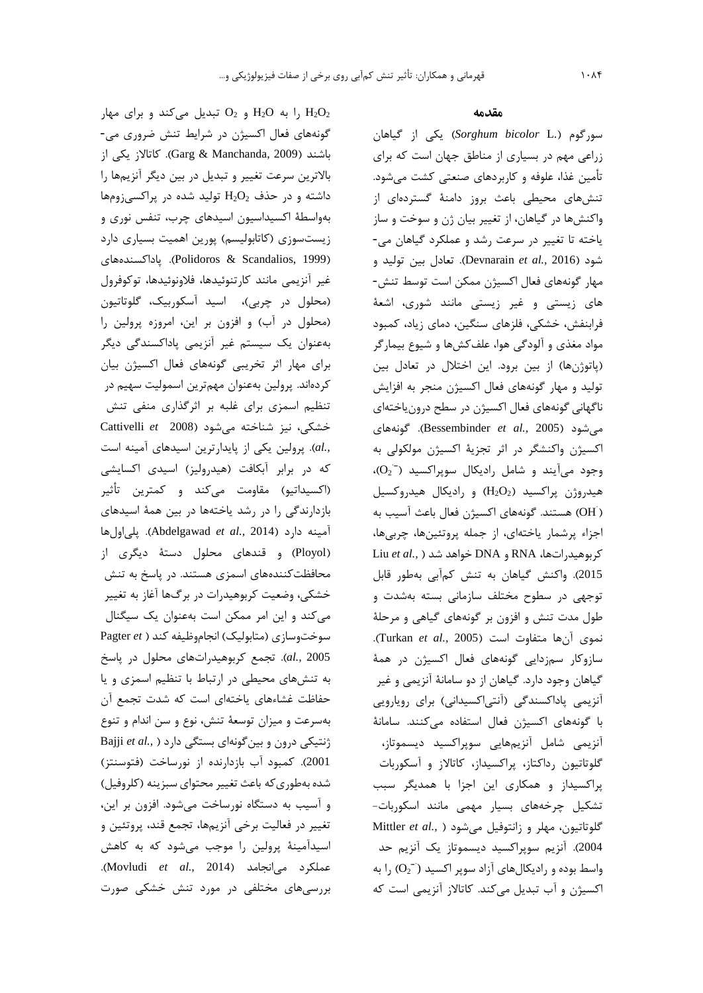را به H2O و O2 تبدیل میکند و برای مهار H2O گونههای فعال اکسیژن در شرایط تنش ضروری می-باشند (Garg & Manchanda, 2009). كاتالاز يكى از بالاترین سرعت تغییر و تبدیل در بین دیگر آنزیمها را داشته و در حذف  $H_2O_2$  تولید شده در پراکسیزومها بهواسطهٔ اکسیداسیون اسیدهای چرب، تنفس نوری و زیستسوزی (کاتابولیسم) پورین اهمیت بسیاری دارد (Polidoros & Scandalios, 1999). پاداکسندههای غير آنزيمي مانند كارتنوئيدها، فلاونوئيدها، توكوفرول (محلول در چربی)، اسید آسکوربیک، گلوتاتیون (محلول در آب) و افزون بر اين، امروزه پرولين را بهعنوان یک سیستم غیر آنزیمی پاداکسندگی دیگر برای مهار اثر تخریبی گونههای فعال اکسیژن بیان کردهاند. پرولین بهعنوان مهمترین اسمولیت سهیم در تنظیم اسمزی برای غلبه بر اثرگذاری منفی تنش Cattivelli et 2008) خشکی، نیز شناخته میشود ,.al). پرولین یکی از پایدارترین اسیدهای آمینه است که در برابر آبکافت (هیدرولیز) اسیدی اکسایشی (اکسیداتیو) مقاومت میکند و کمترین تأثیر بازدارندگی را در رشد یاختهها در بین همهٔ اسیدهای آمينه دارد (Abdelgawad et al., 2014). يلي اول ها (Ployol) و قندهای محلول دستهٔ دیگری از محافظت کنندههای اسمزی هستند. در پاسخ به تنش خشکی، وضعیت کربوهیدرات در برگها آغاز به تغییر می کند و این امر ممکن است بهعنوان یک سیگنال mوختوسازی (متابولیک) انجاموظیفه کند ( Pagter et al., 2005). تجمع كربوهيدراتهاى محلول در ياسخ به تنشهای محیطی در ارتباط با تنظیم اسمزی و یا حفاظت غشاءهای یاختهای است که شدت تجمع آن بهسرعت و میزان توسعهٔ تنش، نوع و سن اندام و تنوع Bajji et al., ) ازنتیکی درون و بین گونهای بستگی دارد 2001). كمبود آب بازدارنده از نورساخت (فتوسنتز) شده بهطوري كه باعث تغيير محتواي سبزينه (كلروفيل) و آسیب به دستگاه نورساخت میشود. افزون بر این، تغيير در فعاليت برخي آنزيمها، تجمع قند، پروتئين و اسیدآمینهٔ پرولین را موجب میشود که به کاهش .Movludi et al., 2014) عملكرد مى انجامد. بررسیهای مختلفی در مورد تنش خشکی صورت

#### مقدمه

سو,گوم (.Sorghum bicolor L) یکی از گیاهان زراعی مهم در بسیاری از مناطق جهان است که برای تأمین غذا، علوفه و کاربردهای صنعتی کشت میشود. تنشهای محیطی باعث بروز دامنهٔ گستردهای از واکنشها در گیاهان، از تغییر بیان ژن و سوخت و ساز یاخته تا تغییر در سرعت رشد و عملکرد گیاهان می-شود (Devnarain et al., 2016). تعادل بين توليد و مهار گونههای فعال اکسیژن ممکن است توسط تنش-های زیستی و غیر زیستی مانند شوری، اشعهٔ فرابنفش، خشكى، فلزهاى سنگين، دماى زياد، كمبود مواد مغذی و آلودگی هوا، علفکشها و شیوع بیمارگر (پاتوژنها) از بین برود. این اختلال در تعادل بین تولید و مهار گونههای فعال اکسیژن منجر به افزایش ناگهانی گونههای فعال اکسیژن در سطح درون یاختهای می شود (Bessembinder et al., 2005). گونههای اکسیژن واکنشگر در اثر تجزیهٔ اکسیژن مولکولی به وجود میآیند و شامل رادیکال سوپراکسید (O2)، هیدروژن پراکسید  $\rm (H_{2}O_{2})$  و رادیکال هیدروکسیل ( OH) هستند. گونههای اکسیژن فعال باعث آسیب به اجزاء پرشمار یاختهای، از جمله پروتئینها، چربیها، Liu et al., ) خواهد شد ( .DNA و DNA ح 2015). واكنش گياهان به تنش كمآبي بهطور قابل توجهی در سطوح مختلف سازمانی بسته بهشدت و طول مدت تنش و افزون بر گونههای گیاهی و مرحلهٔ نموى آنها متفاوت است (Turkan et al., 2005). سازوکار سمزدایی گونههای فعال اکسیژن در همهٔ گیاهان وجود دارد. گیاهان از دو سامانهٔ آنزیمی و غیر آنزیمی پاداکسندگی (آنتیاکسیدانی) برای رویارویی با گونههای اکسیژن فعال استفاده میکنند. سامانهٔ آنزیمی شامل آنزیمهایی سوپراکسید دیسموتاز، گلوتاتیون رداکتاز، پراکسیداز، کاتالاز و آسکوربات پراکسیداز و همکاری این اجزا با همدیگر سبب تشکیل چرخههای بسیار مهمی مانند اسکوربات-Mittler et al., ) كلوتاتيون، مهلر و زانتوفيل مى شود 2004). آنزیم سوپراکسید دیسموتاز یک آنزیم حد واسط بوده و رادیکالهای آزاد سوپر اکسید ( $O_2^-$ ) را به اکسیژن و آب تبدیل میکند. کاتالاز آنزیمی است که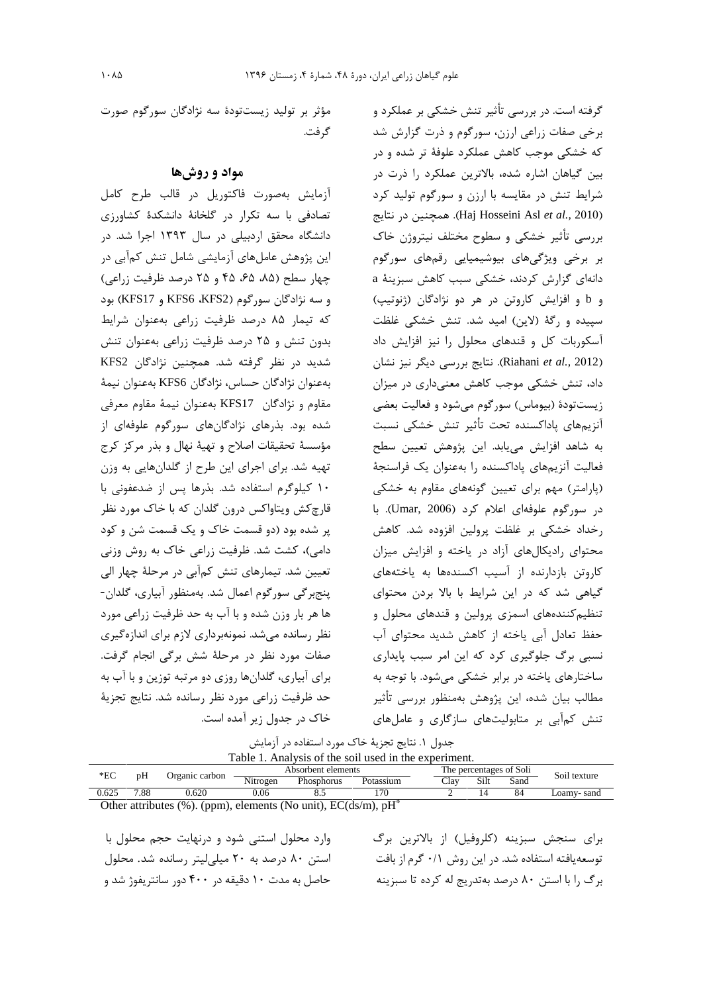گرفته است. در بررسی تأثیر تنش خشکی بر عملکرد و برخی صفات زراعی ارزن، سورگوم و ذرت گزارش شد که خشکی موجب کاهش عملکرد علوفهٔ تر شده و در بین گیاهان اشاره شده، بالاترین عملکرد را ذرت در شرایط تنش در مقایسه با ارزن و سورگوم تولید کرد (Haj Hosseini Asl et al., 2010). همچنین در نتایج بررسی تأثیر خشکی و سطوح مختلف نیتروژن خاک بر برخی ویژگیهای بیوشیمیایی رقمهای سورگوم دانهای گزارش کردند، خشکی سبب کاهش سبزینهٔ a و b و افزایش کاروتن در هر دو نژادگان (ژنوتیپ) سپیده و رگهٔ (لاین) امید شد. تنش خشکی غلظت آسکوربات کل و قندهای محلول را نیز افزایش داد (Riahani et al., 2012). نتايج بررسي ديگر نيز نشان داد، تنش خشکی موجب کاهش معنیداری در میزان زیستتودهٔ (بیوماس) سورگوم میشود و فعالیت بعضی آنزیمهای پاداکسنده تحت تأثیر تنش خشکی نسبت به شاهد افزایش مییابد. این پژوهش تعیین سطح فعالیت آنزیمهای پاداکسنده را بهعنوان یک فراسنجهٔ (پارامتر) مهم برای تعیین گونههای مقاوم به خشکی در سورگوم علوفهای اعلام کرد (Umar, 2006). با رخداد خشکی بر غلظت پرولین افزوده شد. کاهش محتوای رادیکالهای آزاد در یاخته و افزایش میزان کاروتن بازدارنده از آسیب اکسندهها به یاختههای گیاهی شد که در این شرایط با بالا بردن محتوای تنظیم کنندههای اسمزی پرولین و قندهای محلول و حفظ تعادل آبی یاخته از کاهش شدید محتوای آب نسبی برگ جلوگیری کرد که این امر سبب پایداری ساختارهای یاخته در برابر خشکی می شود. با توجه به مطالب بیان شده، این پژوهش بهمنظور بررسی تأثیر تنش کمآبی بر متابولیتهای سازگاری و عاملهای

|  |  | مؤثر بر تولید زیستتودهٔ سه نژادگان سورگوم صورت |       |  |
|--|--|------------------------------------------------|-------|--|
|  |  |                                                | گرفت. |  |

#### مواد و روشها

آزمایش بهصورت فاکتوریل در قالب طرح کامل تصادفی با سه تکرار در گلخانهٔ دانشکدهٔ کشاورزی دانشگاه محقق اردبیلی در سال ۱۳۹۳ اجرا شد. در این پژوهش عاملهای آزمایشی شامل تنش کمآبی در چهار سطح (۸۵، ۶۵، ۴۵ و ۲۵ درصد ظرفیت زراعی) و سه نژادگان سورگوم (KFS6 ،KFS2 و KFS17) بود که تیمار ۸۵ درصد ظرفیت زراعی بهعنوان شرایط بدون تنش و ۲۵ درصد ظرفیت زراعی بهعنوان تنش شدید در نظر گرفته شد. همچنین نژادگان KFS2 بهعنوان نژادگان حساس، نژادگان KFS6 بهعنوان نیمهٔ مقاوم و نژادگان KFS17 بهعنوان نیمهٔ مقاوم معرفی شده بود. بذرهای نژادگانهای سورگوم علوفهای از مؤسسهٔ تحقیقات اصلاح و تهیهٔ نهال و بذر مرکز کرج تهیه شد. برای اجرای این طرح از گلدانهایی به وزن ١٠ كيلوگرم استفاده شد. بذرها پس از ضدعفونى با قارچکش ویتاواکس درون گلدان که با خاک مورد نظر پر شده بود (دو قسمت خاک و یک قسمت شن و کود دامی)، کشت شد. ظرفیت زراعی خاک به روش وزنی تعیین شد. تیمارهای تنش کمآبی در مرحلهٔ چهار الی پنجبرگی سورگوم اعمال شد. بهمنظور آبیاری، گلدان-ها هر بار وزن شده و با آب به حد ظرفیت زراعی مورد نظر رسانده میشد. نمونهبرداری لازم برای اندازهگیری صفات مورد نظر در مرحلهٔ شش برگی انجام گرفت. برای آبیاری، گلدانها روزی دو مرتبه توزین و با آب به حد ظرفیت زراعی مورد نظر رسانده شد. نتایج تجزیهٔ خاک در جدول زیر آمده است.

| جدول ۱. نتایج تجزیهٔ خاک مورد استفاده در آزمایش       |
|-------------------------------------------------------|
| Table 1. Analysis of the soil used in the experiment. |

| $*$ EC | pΗ   | Organic carbon                                                                 | Absorbent elements |            | The percentages of Soli | Soil texture |      |      |             |
|--------|------|--------------------------------------------------------------------------------|--------------------|------------|-------------------------|--------------|------|------|-------------|
|        |      |                                                                                | Nitrogen           | Phosphorus | Potassium               | Clav         | Silt | Sand |             |
| 0.625  | 7.88 | 0.620                                                                          | 0.06               |            | '70                     |              |      | 84   | Loamv- sand |
|        |      | Other attributes $(\%)$ . (ppm), elements (No unit), EC(ds/m), pH <sup>*</sup> |                    |            |                         |              |      |      |             |

وارد محلول استنی شود و درنهایت حجم محلول با استن ٨٠ درصد به ٢٠ ميلي ليتر رسانده شد. محلول حاصل به مدت ۱۰ دقیقه در ۴۰۰ دور سانتریفوژ شد و

برای سنجش سبزینه (کلروفیل) از بالاترین برگ توسعه یافته استفاده شد. در این روش ۰/۱ گرم از بافت برگ را با استن ۸۰ درصد بهتدریج له کرده تا سبزینه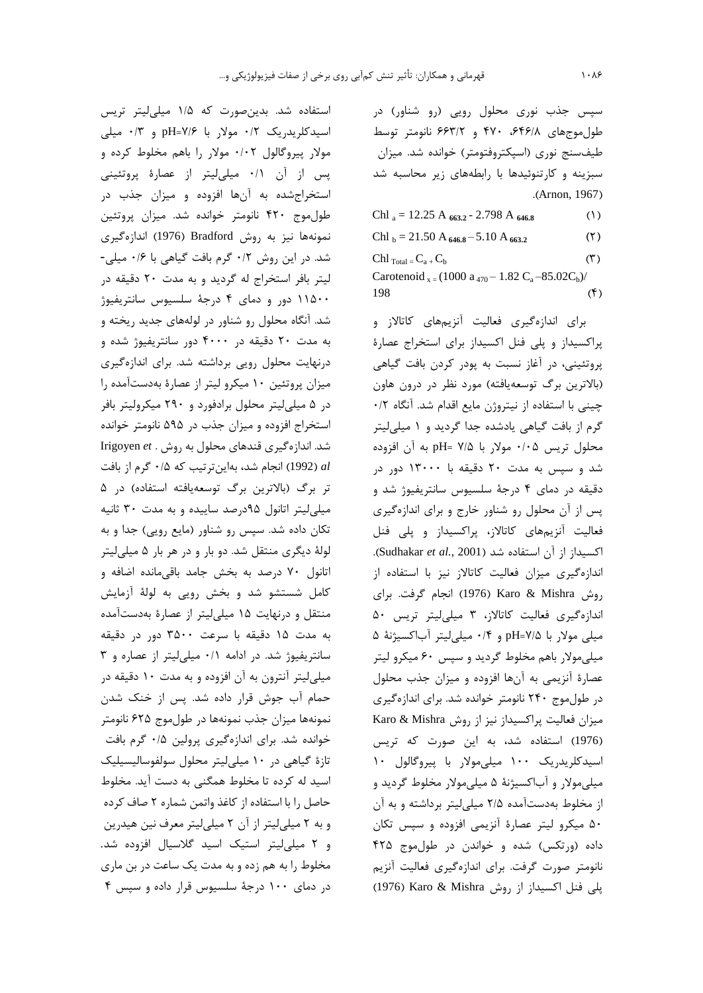198

سپس جذب نوری محلول رویی (رو شناور) در طول موجهای ۶۴۶/۸، ۴۷۰ و ۶۶۳/۲ نانومتر توسط طیفسنج نوری (اسپکتروفتومتر) خوانده شد. میزان سبزینه و کارتنوئیدها با رابطههای زیر محاسبه شد .(Arnon, 1967)

Chl a = 12.25 A  $_{663.2}$  - 2.798 A  $_{646.8}$  $(1)$ Chl<sub>b</sub> = 21.50 A  $_{646.8}$  – 5.10 A  $_{663.2}$  $(5)$  $Chl_{Total} = C_a + C_b$  $(1)$ Carotenoid  $_{x} = (1000 a_{470} - 1.82 C_a - 85.02 C_b)$ 

 $(5)$ 

برای اندازهگیری فعالیت آنزیمهای کاتالاز و پراکسیداز و پلی فنل اکسیداز برای استخراج عصارهٔ پروتئینی، در آغاز نسبت به پودر کردن بافت گیاهی (بالاترین برگ توسعهیافته) مورد نظر در درون هاون چینی با استفاده از نیتروژن مایع اقدام شد. آنگاه ۰/۲ گرم از بافت گیاهی یادشده جدا گردید و ۱ میلی لیتر محلول تريس ٠/٠۵ مولار با pH= ٧/۵ به آن افزوده شد و سیس به مدت ۲۰ دقیقه با ۱۳۰۰۰ دور در دقیقه در دمای ۴ درجهٔ سلسیوس سانتریفیوژ شد و پس از آن محلول رو شناور خارج و برای اندازهگیری فعالیت آنزیمهای کاتالاز، پراکسیداز و پلی فنل اکسیداز از آن استفاده شد (Sudhakar et al., 2001). اندازهگیری میزان فعالیت کاتالاز نیز با استفاده از روش Karo & Mishra (1976) انجام گرفت. برای اندازەگىرى فعاليت كاتالاز، ٣ ميلى ليتر تريس ۵۰ میلی مولار با pH=Y/۵ و ۰/۴ میلی لیتر آباکسیژنهٔ ۵ میلی مولار باهم مخلوط گردید و سپس ۶۰ میکرو لیتر عصارهٔ آنزیمی به آنها افزوده و میزان جذب محلول در طول موج ۲۴۰ نانومتر خوانده شد. برای اندازه گیری میزان فعالیت پراکسیداز نیز از روش Karo & Mishra (1976) استفاده شد، به این صورت که تریس اسیدکلریدریک ۱۰۰ میلی مولار با پیروگالول ۱۰ میلی مولار و آباکسیژنهٔ ۵ میلی مولار مخلوط گردید و از مخلوط بهدستآمده ۲/۵ میلی لیتر برداشته و به آن ۵۰ میکرو لیتر عصارهٔ آنزیمی افزوده و سپس تکان داده (ورتکس) شده و خواندن در طول موج ۴۲۵ نانومتر صورت گرفت. برای اندازهگیری فعالیت آنزیم پلی فنل اکسیداز از روش Karo & Mishra (1976)

استفاده شد. بدینصورت که ۱/۵ میلی لیتر تریس اسیدکلریدریک ۰/۲ مولار با pH=۷/۶ و ۰/۳ میلی مولار پیروگالول ۰/۰۲ مولار را باهم مخلوط کرده و پس از آن ۰/۱ میلی لیتر از عصارهٔ پروتئینی استخراج شده به آنها افزوده و میزان جذب در طول موج ۴۲۰ نانومتر خوانده شد. میزان پروتئین نمونهها نيز به روش Bradford (1976) اندازەگىرى شد. در این روش ۰/۲ گرم بافت گیاهی با ۰/۶ میلی-ليتر بافر استخراج له گرديد و به مدت ٢٠ دقيقه در ۱۱۵۰۰ دور و دمای ۴ درجهٔ سلسیوس سانتریفیوژ شد. آنگاه محلول رو شناور در لولههای جدید ریخته و به مدت ۲۰ دقیقه در ۴۰۰۰ دور سانتریفیوژ شده و درنهایت محلول رویی برداشته شد. برای اندازهگیری میزان پروتئین ۱۰ میکرو لیتر از عصارهٔ بهدستآمده را در ۵ میلی لیتر محلول برادفورد و ۲۹۰ میکرولیتر بافر استخراج افزوده و میزان جذب در ۵۹۵ نانومتر خوانده شد. اندازهگیری قندهای محلول به روش . Irigoyen et انجام شد، بهاینتر تیب که ۰/۵ گرم از بافت (1992) انجام شد، بهاینتر تر برگ (بالاترین برگ توسعهیافته استفاده) در ۵ میلی لیتر اتانول ۹۵درصد ساییده و به مدت ۳۰ ثانیه تکان داده شد. سپس رو شناور (مایع رویی) جدا و به لولهٔ دیگری منتقل شد. دو بار و در هر بار ۵ میلیلیتر اتانول ۷۰ درصد به بخش جامد باقیمانده اضافه و کامل شستشو شد و بخش رویی به لولهٔ آزمایش منتقل و درنهایت ۱۵ میلی لیتر از عصارهٔ بهدستآمده به مدت ۱۵ دقیقه با سرعت ۳۵۰۰ دور در دقیقه سانتریفیوژ شد. در ادامه ۰/۱ میلی لیتر از عصاره و ۳ میلی لیتر آنترون به آن افزوده و به مدت ۱۰ دقیقه در حمام آب جوش قرار داده شد. پس از خنک شدن نمونهها میزان جذب نمونهها در طولٍموج ۶۲۵ نانومتر خوانده شد. برای اندازهگیری پرولین ۰/۵ گرم بافت تازهٔ گیاهی در ۱۰ میلیلیتر محلول سولفوسالیسیلیک اسید له کرده تا مخلوط همگنی به دست آید. مخلوط حاصل را با استفاده از کاغذ واتمن شماره ۲ صاف کرده و به ٢ ميلي ليتر از آن ٢ ميلي ليتر معرف نين هيدرين و ٢ ميلي ليتر استيک اسيد گلاسيال افزوده شد. مخلوط را به هم زده و به مدت یک ساعت در بن ماری در دمای ۱۰۰ درجهٔ سلسیوس قرار داده و سپس ۴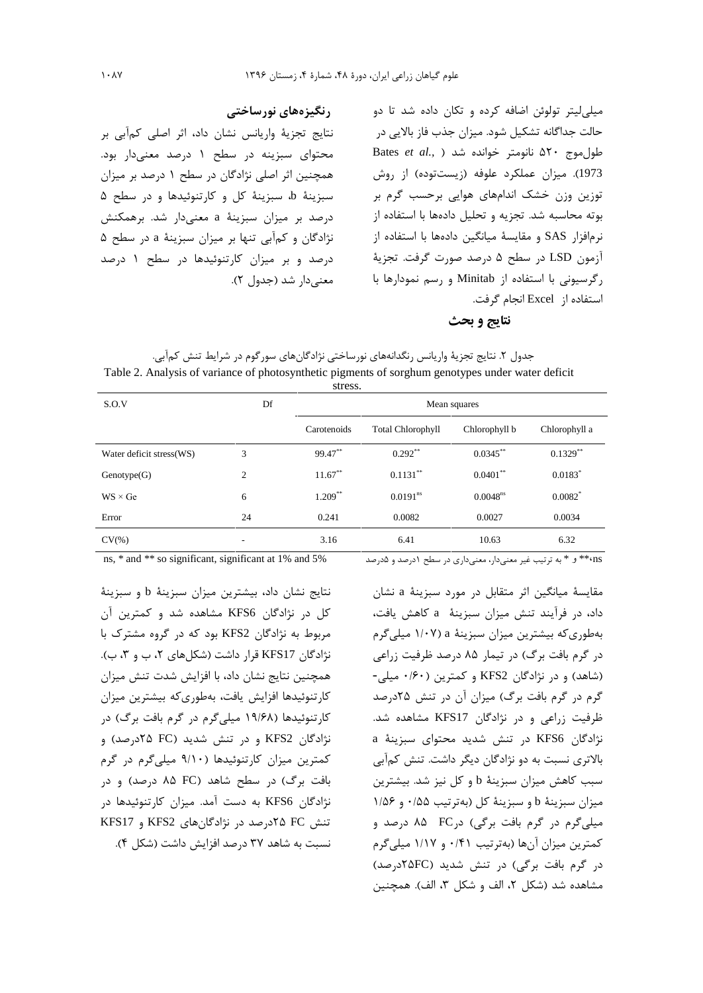رنگیزههای نورساختی نتايج تجزيۀ واريانس نشان داد، اثر اصلي كمآبي بر محتوای سبزینه در سطح ۱ درصد معنیدار بود. همچنین اثر اصلی نژادگان در سطح ۱ درصد بر میزان سبزینهٔ b، سبزینهٔ کل و کارتنوئیدها و در سطح ۵ درصد بر میزان سبزینهٔ a معنیدار شد. برهمکنش نژادگان و کمآبی تنها بر میزان سبزینهٔ a در سطح ۵ درصد و بر میزان کارتنوئیدها در سطح ۱ درصد معنے دار شد (جدول ٢).

میلی لیتر تولوئن اضافه کرده و تکان داده شد تا دو حالت جداگانه تشکیل شود. میزان جذب فاز بالایی در Bates et al., ) طول موج ۵۲۰ نانومتر خوانده شد 1973). میزان عملکرد علوفه (زیستتوده) از روش توزین وزن خشک اندامهای هوایی برحسب گرم بر بوته محاسبه شد. تجزیه و تحلیل دادهها با استفاده از نرمافزار SAS و مقايسة ميانگين دادهها با استفاده از آزمون LSD در سطح ۵ درصد صورت گرفت. تجزیهٔ رگرسیونی با استفاده از Minitab و رسم نمودارها با استفاده از Excel انجام گرفت.

نتايج و بحث

جدول ۲. نتایج تجزیهٔ واریانس رنگدانههای نورساختی نژادگانهای سورگوم در شرایط تنش کمآبی. Table 2. Analysis of variance of photosynthetic pigments of sorghum genotypes under water deficit stress

| S.O.V                     | Df                       | Mean squares |                          |                      |               |  |  |  |  |  |  |  |
|---------------------------|--------------------------|--------------|--------------------------|----------------------|---------------|--|--|--|--|--|--|--|
|                           |                          | Carotenoids  | <b>Total Chlorophyll</b> | Chlorophyll b        | Chlorophyll a |  |  |  |  |  |  |  |
| Water deficit stress (WS) | 3                        | 99.47**      | $0.292**$                | $0.0345$ **          | $0.1329**$    |  |  |  |  |  |  |  |
| Genotype(G)               | 2                        | $11.67**$    | $0.1131***$              | $0.0401***$          | $0.0183*$     |  |  |  |  |  |  |  |
| $WS \times Ge$            | 6                        | $1.209***$   | $0.0191$ <sup>ns</sup>   | 0.0048 <sup>ns</sup> | $0.0082$ *    |  |  |  |  |  |  |  |
| Error                     | 24                       | 0.241        | 0.0082                   | 0.0027               | 0.0034        |  |  |  |  |  |  |  |
| $CV(\% )$                 | $\overline{\phantom{a}}$ | 3.16         | 6.41                     | 10.63                | 6.32          |  |  |  |  |  |  |  |

ns, \* and \*\* so significant, significant at 1% and 5%

نتایج نشان داد، بیشترین میزان سبزینهٔ b و سبزینهٔ کل در نژادگان KFS6 مشاهده شد و کمترین آن مربوط به نژادگان KFS2 بود که در گروه مشترک با نژادگان KFS17 قرار داشت (شکلهای ۲، ب و ۳، ب). همچنین نتایج نشان داد، با افزایش شدت تنش میزان کارتنوئیدها افزایش یافت، بهطوریکه بیشترین میزان کارتنوئیدها (۱۹/۶۸ میلیگرم در گرم بافت برگ) در نژادگان KFS2 و در تنش شدید (FC ۲۵ درصد) و کمترین میزان کارتنوئیدها (۹/۱۰ میلیگرم در گرم بافت برگ) در سطح شاهد (A۵ FC درصد) و در نژادگان KFS6 به دست آمد. میزان کارتنوئیدها در تنش FC ۲۵ درصد در نژادگانهای KFS2 و KFS17 نسبت به شاهد ٣٧ درصد افزايش داشت (شكل ۴). مقایسهٔ میانگین اثر متقابل در مورد سبزینهٔ a نشان داد، در فرآیند تنش میزان سبزینهٔ a کاهش یافت، بهطوری که بیشترین میزان سبزینهٔ a (۱/۰۷ میلی گرم در گرم بافت برگ) در تیمار ۸۵ درصد ظرفیت زراعی (شاهد) و در نژادگان KFS2 و کمترین (۶۰/۰ میلی-گرم در گرم بافت برگ) میزان آن در تنش ۲۵درصد ظرفیت زراعی و در نژادگان KFS17 مشاهده شد. نژادگان KFS6 در تنش شدید محتوای سبزینهٔ a بالاتری نسبت به دو نژادگان دیگر داشت. تنش کمآبی سبب كاهش ميزان سبزينة b و كل نيز شد. بيشترين میزان سبزینهٔ b و سبزینهٔ کل (بهترتیب ۰/۵۵ و ۱/۵۶ میلی گرم در گرم بافت برگی) در A۵ FC درصد و کمترین میزان آنها (بهترتیب ۰/۴۱ و ۱/۱۷ میلیگرم در گرم بافت برگی) در تنش شدید (٢٥FCدرصد) مشاهده شد (شكل ٢، الف و شكل ٣، الف). همچنين

.<br><sub>18</sub>\*\* و \* به ترتیب غیر معنیدار، معنیداری در سطح ۱درصد و ۵درصد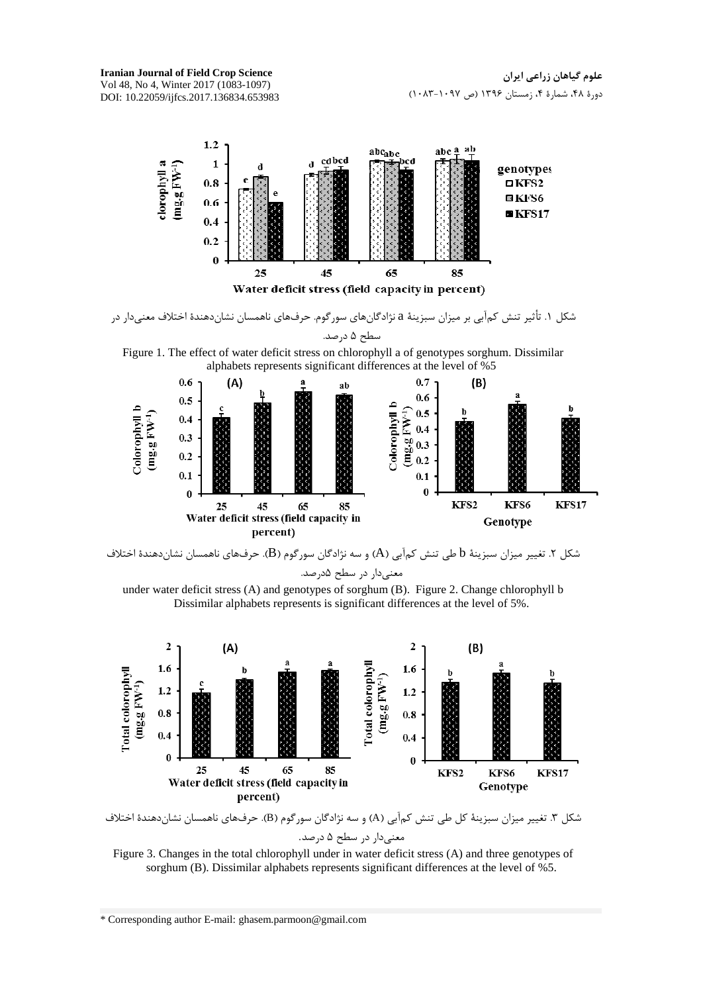**Iranian Journal of Field Crop Science** Vol 48, No 4, Winter 2017 (1083-1097) DOI: 10.22059/ijfcs.2017.136834.653983



شکل ۱. تأثیر تنش کمآبی بر میزان سبزینهٔ a نژادگانهای سورگوم. حرفهای ناهمسان نشاندهندهٔ اختلاف معنیدار در سطح ۵ درصد.





شکل ۲. تغییر میزان سبزینهٔ b طی تنش کمآبی (A) و سه نژادگان سورگوم (B). حرفهای ناهمسان نشاندهندهٔ اختلاف

معنىدار در سطح ۵درصد.

under water deficit stress (A) and genotypes of sorghum (B). Figure 2. Change chlorophyll b Dissimilar alphabets represents is significant differences at the level of 5%.



شکل ۳. تغییر میزان سبزینهٔ کل طی تنش کمآبی (A) و سه نژادگان سورگوم (B). حرفهای ناهمسان نشاندهندهٔ اختلاف معنی دار در سطح ۵ درصد.

Figure 3. Changes in the total chlorophyll under in water deficit stress (A) and three genotypes of sorghum (B). Dissimilar alphabets represents significant differences at the level of %5.

\* Corresponding author E-mail: ghasem.parmoon@gmail.com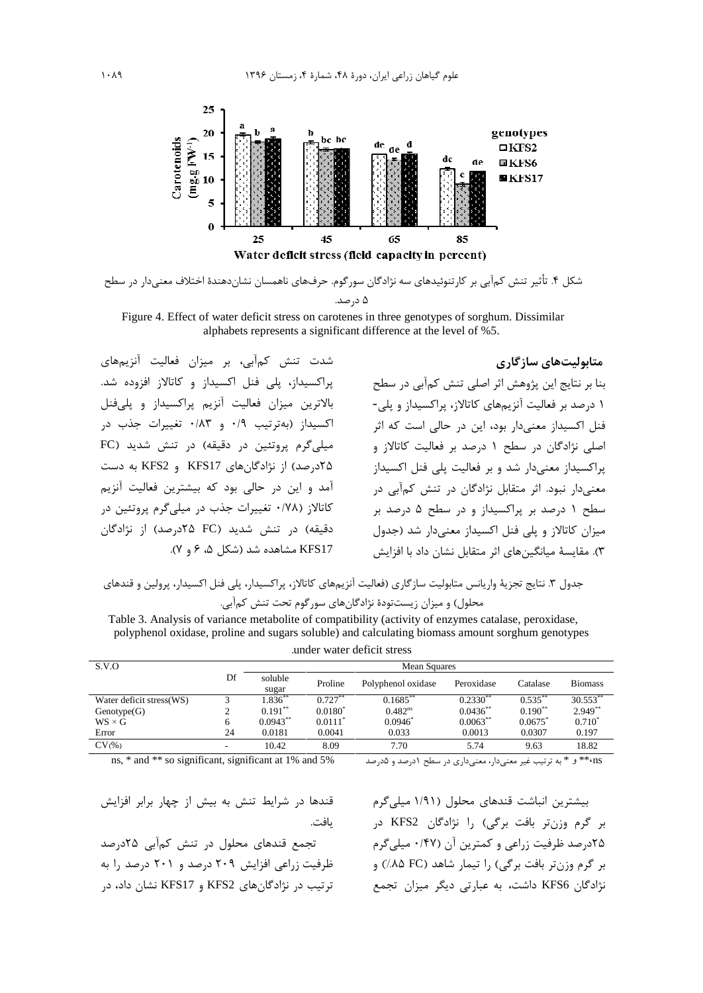

Figure 4. Effect of water deficit stress on carotenes in three genotypes of sorghum. Dissimilar alphabets represents a significant difference at the level of %5.

شدت تنش کمآبی، بر میزان فعالیت آنزیمهای پراکسیداز، پلی فنل اکسیداز و کاتالاز افزوده شد. بالاترین میزان فعالیت آنزیم پراکسیداز و پل<sub>ی</sub>فنل اکسیداز (بهترتیب ۰/۹ و ۰/۸۳ تغییرات جذب در میلی گرم پروتئین در دقیقه) در تنش شدید (FC ۲۵د,صد) از نژادگانهای KFS17 و KFS2 به دست آمد و این در حالی بود که بیشترین فعالیت آنزیم کاتالاز (۱۷۸۰ تغییرات جذب در میلی گرم پروتئین در دقیقه) در تنش شدید (FC ۲۵-درصد) از نژادگان KFS17 مشاهده شد (شکل ۵، ۶ و ۷).

بنا بر نتایج این پژوهش اثر اصلی تنش کمآبی در سطح ١ درصد بر فعالیت آنزیمهای کاتالاز، پراکسیداز و پلی-فنل اکسیداز معنیدار بود، این در حالی است که اثر اصلی نژادگان در سطح ۱ درصد بر فعالیت کاتالاز و یراکسیداز معنی دار شد و بر فعالیت پلی فنل اکسیداز معنیدار نبود. اثر متقابل نژادگان در تنش کمآبی در سطح ۱ درصد بر پراکسیداز و در سطح ۵ درصد بر میزان کاتالاز و یلی فنل اکسیداز معنیدار شد (جدول ۳). مقایسهٔ میانگینهای اثر متقابل نشان داد با افزایش

جدول ۳. نتایج تجزیهٔ واریانس متابولیت سازگاری (فعالیت آنزیمهای کاتالاز، پراکسیدار، پلی فنل اکسیدار، پرولین و قندهای محلول) و میزان زیستتودهٔ نژادگانهای سورگوم تحت تنش کمآبی.

Table 3. Analysis of variance metabolite of compatibility (activity of enzymes catalase, peroxidase, polyphenol oxidase, proline and sugars soluble) and calculating biomass amount sorghum genotypes under water deficit stress

| S.V.O                     | <b>Mean Squares</b> |                  |                       |                    |             |            |                |  |  |  |
|---------------------------|---------------------|------------------|-----------------------|--------------------|-------------|------------|----------------|--|--|--|
|                           | Df                  | soluble<br>sugar | Proline               | Polyphenol oxidase | Peroxidase  | Catalase   | <b>Biomass</b> |  |  |  |
| Water deficit stress (WS) |                     | $1.836**$        | $0.727***$            | $0.1685$ **        | $0.2330**$  | $0.535***$ | $30.553**$     |  |  |  |
| Genotype(G)               |                     | $0.191**$        | $0.0180^*$            | $0.482^{ns}$       | $0.0436**$  | $0.190**$  | $2.949**$      |  |  |  |
| $WS \times G$             | 6                   | $0.0943***$      | $0.0111$ <sup>*</sup> | $0.0946^*$         | $0.0063***$ | 0.0675     | $0.710^*$      |  |  |  |
| Error                     | 24                  | 0.0181           | 0.0041                | 0.033              | 0.0013      | 0.0307     | 0.197          |  |  |  |
| CV(%                      | ۰                   | 10.42            | 8.09                  | 7.70               | 5.74        | 9.63       | 18.82          |  |  |  |

ns, \* and \*\* so significant, significant at 1% and 5%

ns\*\* و \* به ترتیب غیر معنیدار، معنیداری در سطح ۱درصد و ۵درصد

قندها در شرایط تنش به بیش از چهار برابر افزایش يافت.

تجمع قندهای محلول در تنش کمآبی ۲۵درصد ظرفیت زراعی افزایش ۲۰۹ درصد و ۲۰۱ درصد را به ترتیب در نژادگانهای KFS2 و KFS17 نشان داد، در بیشترین انباشت قندهای محلول (۱/۹۱ میلی گرم بر گرم وزنتر بافت برگی) را نژادگان KFS2 در ۲۵درصد ظرفیت زراعی و کمترین آن (۰/۴۷ میلیگرم بر گرم وزنتر بافت برگی) را تیمار شاهد (A۵ FC/) و نژادگان KFS6 داشت، به عبارتی دیگر میزان تجمع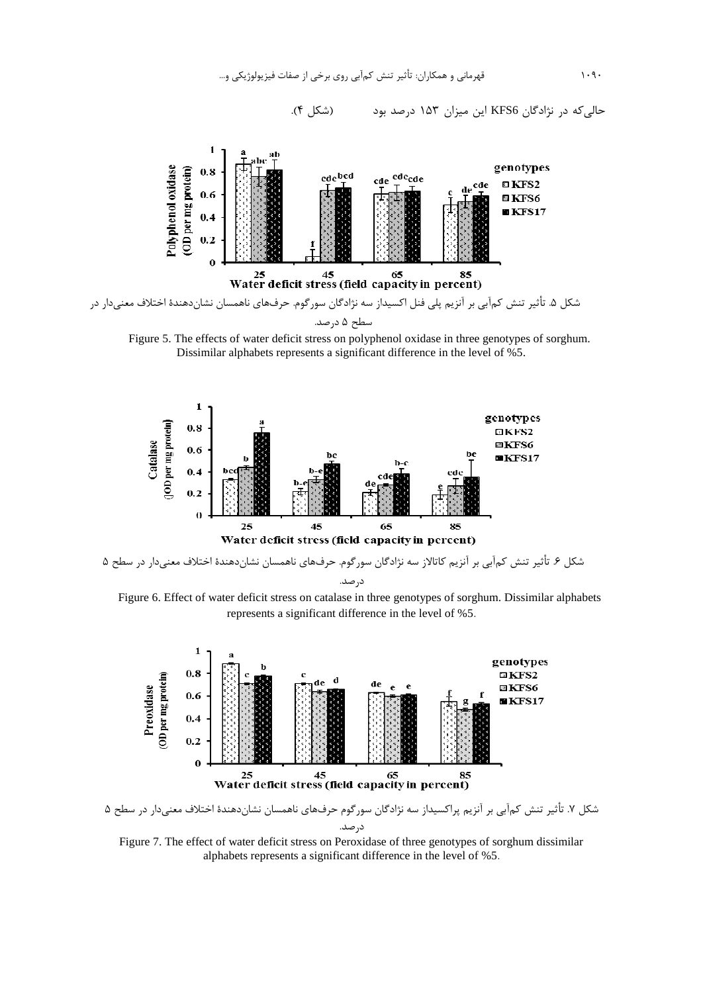(شكل ۴).

حالی که در نژادگان KFS6 این میزان ۱۵۳ درصد بود









Figure 6. Effect of water deficit stress on catalase in three genotypes of sorghum. Dissimilar alphabets represents a significant difference in the level of %5.



شکل ۷. تأثیر تنش کمآبی بر آنزیم پراکسیداز سه نژادگان سورگوم حرفهای ناهمسان نشاندهندهٔ اختلاف معنیدار در سطح ۵ در صد.

Figure 7. The effect of water deficit stress on Peroxidase of three genotypes of sorghum dissimilar alphabets represents a significant difference in the level of %5.

 $1.9.$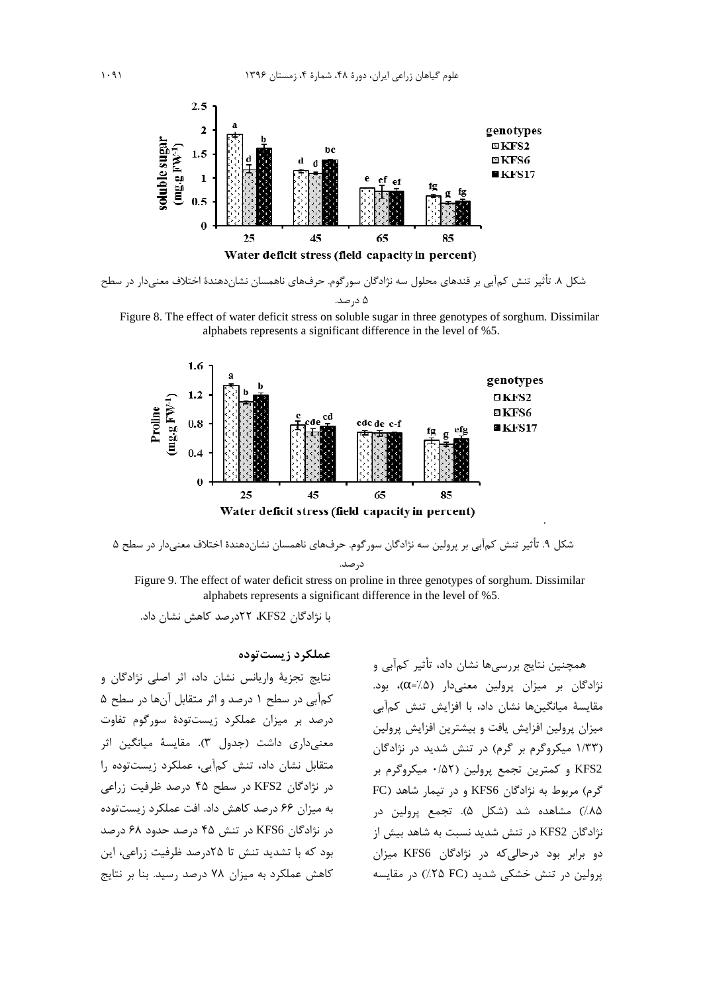





Water deficit stress (field capacity in percent)

Figure 9. The effect of water deficit stress on proline in three genotypes of sorghum. Dissimilar alphabets represents a significant difference in the level of %5.

با نژادگان KFS2، ۲۲درصد کاهش نشان داد.

عملكرد زيستتوده

نتايج تجزية واريانس نشان داد، اثر اصلي نژادگان و کمآبی در سطح ۱ درصد و اثر متقابل آنها در سطح ۵ درصد بر میزان عملکرد زیستتودهٔ سورگوم تفاوت معنیداری داشت (جدول ۳). مقایسهٔ میانگین اثر متقابل نشان داد، تنش كمآبي، عملكرد زيستتوده ,ا در نژادگان KFS2 در سطح ۴۵ درصد ظرفیت زراعی به میزان ۶۶ درصد کاهش داد. افت عملکرد زیستتوده در نژادگان KFS6 در تنش ۴۵ درصد حدود ۶۸ درصد بود که با تشدید تنش تا ۲۵درصد ظرفیت زراعی، این کاهش عملکرد به میزان ۷۸ درصد رسید. بنا بر نتایج

همچنین نتایج بررسیها نشان داد، تأثیر کمآبی و نژادگان بر میزان پرولین معنیدار (α=/.۵)، بود. مقایسهٔ میانگینها نشان داد، با افزایش تنش کمآبی میزان پرولین افزایش یافت و بیشترین افزایش پرولین (۱/۳۳ میکروگرم بر گرم) در تنش شدید در نژادگان KFS2 و کمترین تجمع پرولین (۵۲۰ میکروگرم بر گرم) مربوط به نژادگان KFS6 و در تیمار شاهد (FC ۸۵٪) مشاهده شد (شکل ۵). تجمع پرولین در نژادگان KFS2 در تنش شدید نسبت به شاهد بیش از دو برابر بود درحالی که در نژادگان KFS6 میزان پرولین در تنش خشکی شدید (K۵ FC/) در مقایسه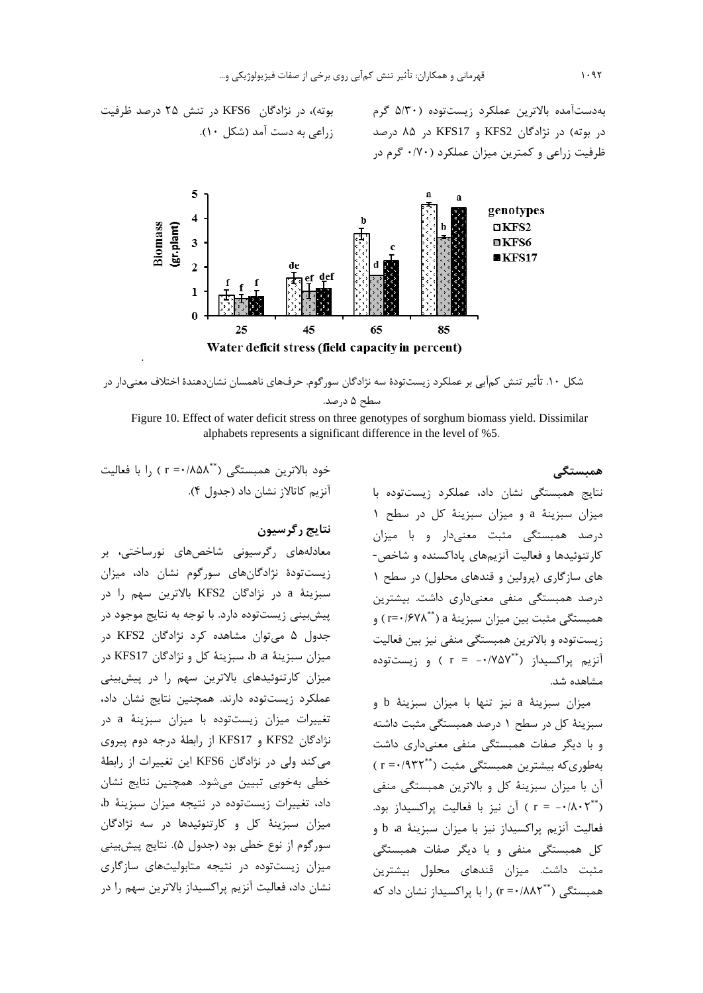بەدستآمدە بالاترین عملکرد زیستتودە (۵/۳۰ گرم در بوته) در نژادگان KFS2 و KFS17 در ۸۵ درصد ظرفیت زراعی و کمترین میزان عملکرد (۷۰/۰ گرم در

بوته)، در نژادگان KFS6 در تنش ۲۵ درصد ظرفیت زراعی به دست آمد (شکل ۱۰).



```
شکل ۱۰. تأثیر تنش کمآبی بر عملکرد زیستتودهٔ سه نژادگان سورگوم. حرفهای ناهمسان نشاندهندهٔ اختلاف معنیدار در
                                    سطح ۵ درصد.
```
Figure 10. Effect of water deficit stress on three genotypes of sorghum biomass yield. Dissimilar alphabets represents a significant difference in the level of %5.

> همبستگے<sub>،</sub> نتايج همبستگى نشان داد، عملكرد زيستتوده با میزان سبزینهٔ a و میزان سبزینهٔ کل در سطح ۱ درصد همبستگی مثبت معنیدار و با میزان کارتنوئیدها و فعالیت آنزیمهای پاداکسنده و شاخص-های سازگاری (پرولین و قندهای محلول) در سطح ۱ درصد همبستگی منفی معنیداری داشت. بیشترین همبستگی مثبت بین میزان سبزینهٔ a (\*\*\*r=۰/۶۷۸) و زیستتوده و بالاترین همبستگی منفی نیز بین فعالیت مشاهده شد.

> میزان سبزینهٔ a نیز تنها با میزان سبزینهٔ b و سبزینهٔ کل در سطح ۱ درصد همبستگی مثبت داشته و با دیگر صفات همبستگی منفی معنیداری داشت بهطوری که بیشترین همبستگی مثبت (\*\*\*\*۱۳۲) r =۰/۹۳۲ آن با میزان سبزینهٔ کل و بالاترین همبستگی منفی (\*\* r = -٠/٨٠٢) أن نيز با فعاليت پراكسيداز بود. فعالیت آنزیم پراکسیداز نیز با میزان سبزینهٔ a b و کل همبستگی منفی و با دیگر صفات همبستگی مثبت داشت. میزان قندهای محلول بیشترین همبستگی (\*\*r =•/۸۸۲) را با پراکسیداز نشان داد که

خود بالاترين همبستگي (\*\*٨۵٨/\*= r ) را با فعاليت آنزیم کاتالاز نشان داد (جدول ۴).

### نتايج رگرسيون

معادلههای رگرسیونی شاخصهای نورساختی، بر زیستتودهٔ نژادگانهای سورگوم نشان داد، میزان سبزينهٔ a در نژادگان KFS2 بالاترين سهم را در پیش بینی زیستتوده دارد. با توجه به نتایج موجود در جدول ۵ میتوان مشاهده کرد نژادگان KFS2 در ميزان سبزينهٔ a، b، سبزينهٔ كل و نژادگان KFS17 در میزان کارتنوئیدهای بالاترین سهم را در پیشبینی عملکرد زیستتوده دارند. همچنین نتایج نشان داد، تغییرات میزان زیستتوده با میزان سبزینهٔ a در نژادگان KFS2 و KFS17 از رابطهٔ درجه دوم پیروی می کند ولی در نژادگان KFS6 این تغییرات از رابطهٔ خطی بهخوبی تبیین میشود. همچنین نتایج نشان داد، تغییرات زیستتوده در نتیجه میزان سبزینهٔ b، میزان سبزینهٔ کل و کارتنوئیدها در سه نژادگان سورگوم از نوع خطی بود (جدول ۵). نتایج پیشبینی میزان زیستتوده در نتیجه متابولیتهای سازگاری نشان داد، فعالیت آنزیم پراکسیداز بالاترین سهم را در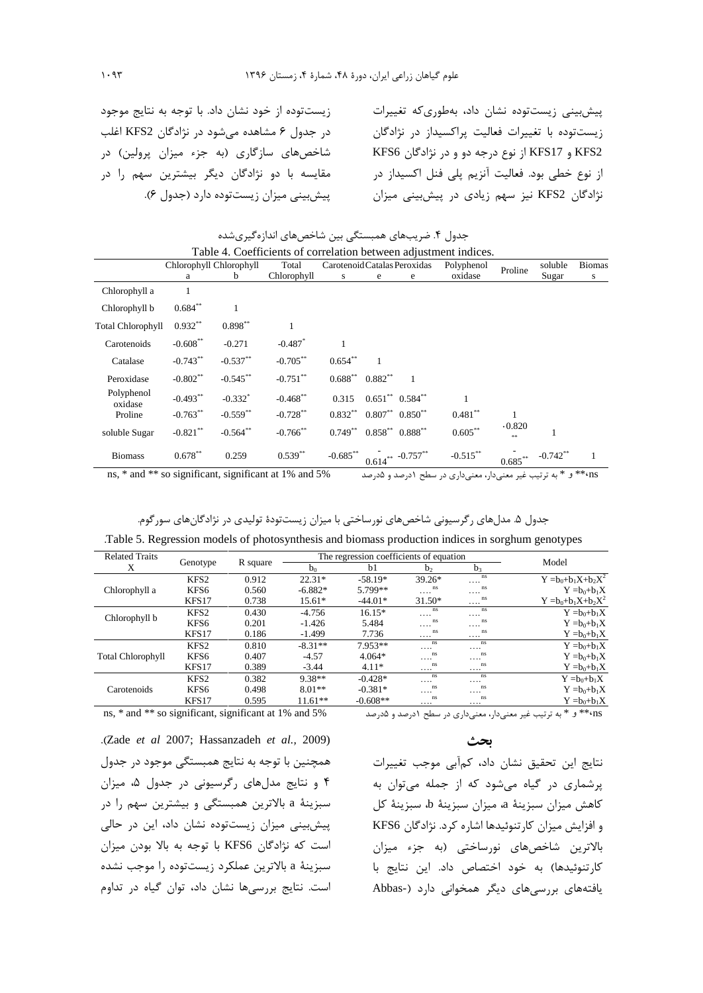زیستتوده از خود نشان داد. با توجه به نتایج موجود در جدول ۶ مشاهده میشود در نژادگان KFS2 اغلب شاخصهای سازگاری (به جزء میزان پرولین) در مقایسه با دو نژادگان دیگر بیشترین سهم را در پیشبینی میزان زیستتوده دارد (جدول ۶). ییش بینی زیستتوده نشان داد، بهطوری که تغییرات زیستتوده با تغییرات فعالیت پراکسیداز در نژادگان KFS17 و KFS17 از نوع درجه دو و در نژادگان KFS6 از نوع خطی بود. فعالیت آنزیم پلی فنل اکسیداز در نژادگان KFS2 نیز سهم زیادی در پیشبینی میزان

|                                                                  | جدول ۴. ضریبهای همبستگی بین شاخصهای اندازهگیریشده |                                                                                                                       |                       |                           |                                        |                                 |                                                                                                                 |              |            |   |  |  |  |  |
|------------------------------------------------------------------|---------------------------------------------------|-----------------------------------------------------------------------------------------------------------------------|-----------------------|---------------------------|----------------------------------------|---------------------------------|-----------------------------------------------------------------------------------------------------------------|--------------|------------|---|--|--|--|--|
| Table 4. Coefficients of correlation between adjustment indices. |                                                   |                                                                                                                       |                       |                           |                                        |                                 |                                                                                                                 |              |            |   |  |  |  |  |
|                                                                  |                                                   | <b>Biomas</b><br>Chlorophyll Chlorophyll<br>Carotenoid Catalas Peroxidas<br>soluble<br>Total<br>Polyphenol<br>Proline |                       |                           |                                        |                                 |                                                                                                                 |              |            |   |  |  |  |  |
|                                                                  | a                                                 | b                                                                                                                     | Chlorophyll           | s                         | e                                      | e                               | oxidase                                                                                                         |              | Sugar      | S |  |  |  |  |
| Chlorophyll a                                                    |                                                   |                                                                                                                       |                       |                           |                                        |                                 |                                                                                                                 |              |            |   |  |  |  |  |
| Chlorophyll b                                                    | $0.684**$                                         | 1                                                                                                                     |                       |                           |                                        |                                 |                                                                                                                 |              |            |   |  |  |  |  |
| <b>Total Chlorophyll</b>                                         | $0.932***$                                        | $0.898**$                                                                                                             |                       |                           |                                        |                                 |                                                                                                                 |              |            |   |  |  |  |  |
| Carotenoids                                                      | $-0.608**$                                        | $-0.271$                                                                                                              | $-0.487$ <sup>*</sup> |                           |                                        |                                 |                                                                                                                 |              |            |   |  |  |  |  |
| Catalase                                                         | $-0.743$ **                                       | $-0.537**$                                                                                                            | $-0.705***$           | $0.654***$                |                                        |                                 |                                                                                                                 |              |            |   |  |  |  |  |
| Peroxidase                                                       | $-0.802$ **                                       | $-0.545***$                                                                                                           | $-0.751$ **           | $0.688^{**}$ $0.882^{**}$ |                                        | 1                               |                                                                                                                 |              |            |   |  |  |  |  |
| Polyphenol<br>oxidase                                            | $-0.493**$                                        | $-0.332$ <sup>*</sup>                                                                                                 | $-0.468$ **           | 0.315                     | $0.651^{**}$ $0.584^{**}$              |                                 |                                                                                                                 |              |            |   |  |  |  |  |
| Proline                                                          | $-0.763**$                                        | $-0.559**$                                                                                                            | $-0.728***$           |                           | $0.832^{**}$ $0.807^{**}$ $0.850^{**}$ |                                 | $0.481***$                                                                                                      |              |            |   |  |  |  |  |
| soluble Sugar                                                    | $-0.821***$                                       | $-0.564**$                                                                                                            | $-0.766$ **           |                           | $0.749**$ $0.858**$ $0.888**$          |                                 | $0.605***$                                                                                                      | 0.820<br>**  | 1          |   |  |  |  |  |
| <b>Biomass</b>                                                   | $0.678**$                                         | 0.259                                                                                                                 | $0.539**$             | $-0.685***$               |                                        | $0.614***$ -0.757 <sup>**</sup> | $-0.515***$                                                                                                     | $0.685^{**}$ | $-0.742**$ |   |  |  |  |  |
| ne * and ** so significant significant at 1% and 5%              |                                                   |                                                                                                                       |                       |                           |                                        |                                 | and the state of the state of the state of the state of the state of the state of the state of the state of the |              |            |   |  |  |  |  |

\* so significant, significant at 1% and 5% ns, \* and \* و \* به ترتیب غیر معنیدار، معنیداری در سطح ۱درصد و ۵درصد

جدول ۵. مدلهای رگرسیونی شاخصهای نورساختی با میزان زیستتودهٔ تولیدی در نژادگانهای سورگوم.

| <b>Related Traits</b> |                  |          | The regression coefficients of equation | Model     |                       |                       |                             |
|-----------------------|------------------|----------|-----------------------------------------|-----------|-----------------------|-----------------------|-----------------------------|
|                       | Genotype         | R square | D∩                                      | bl        | b <sub>1</sub>        | D٩                    |                             |
|                       | KFS <sub>2</sub> | 0.912    | $22.31*$                                | $-58.19*$ | $39.26*$              | <b>ns</b><br>$\cdots$ | $Y = b_0 + b_1 X + b_2 X^2$ |
| Chlorophyll a         | KFS6             | 0.560    | $-6.882*$                               | 5.799**   | <b>ns</b><br>$\cdots$ | <b>ns</b><br>$\cdots$ | $Y = b_0 + b_1 X$           |
|                       | KFS17            | 0.738    | 15.61*                                  | $-44.01*$ | $31.50*$              | <b>ns</b><br>$\cdots$ | $Y = b_0 + b_1 X + b_2 X^2$ |
| Chlorophyll b         | KFS2             | 0.430    | -4.756                                  | $16.15*$  | <b>ns</b><br>$\cdots$ | <b>ns</b><br>$\cdots$ | $Y = b_0 + b_1 X$           |
|                       | <b>IZECC</b>     | 0.201    | 1.42c                                   | F A O A   | <b>ns</b>             | ns                    | $V = 1.1 V$                 |

5.484

|  |  |  |  | Table 5. Regression models of photosynthesis and biomass production indices in sorghum genotypes. |  |  |  |  |  |  |  |  |  |  |  |  |  |  |  |  |  |  |  |  |  |  |
|--|--|--|--|---------------------------------------------------------------------------------------------------|--|--|--|--|--|--|--|--|--|--|--|--|--|--|--|--|--|--|--|--|--|--|
|--|--|--|--|---------------------------------------------------------------------------------------------------|--|--|--|--|--|--|--|--|--|--|--|--|--|--|--|--|--|--|--|--|--|--|

|                          | KFS17 | 0.186 | $-1.499$  | 7.736      | <b>ns</b><br>$\cdots$ | <b>ns</b><br>. |  |
|--------------------------|-------|-------|-----------|------------|-----------------------|----------------|--|
|                          | KFS2  | 0.810 | $-8.31**$ | 7.953**    | <b>ns</b><br>.        | ns<br>.        |  |
| <b>Total Chlorophyll</b> | KFS6  | 0.407 | $-4.57$   | $4.064*$   | <b>ns</b><br>.        | ns<br>.        |  |
|                          | KFS17 | 0.389 | $-3.44$   | $4.11*$    | <b>ns</b><br>.        | ns<br>.        |  |
|                          | KFS2  | 0.382 | 9.38**    | $-0.428*$  | <b>ns</b><br>.        | ns<br>.        |  |
| Carotenoids              | KFS6  | 0.498 | $8.01**$  | $-0.381*$  | <b>ns</b><br>.        | ns<br>.        |  |
|                          | KFS17 | 0.595 | 11.61**   | $-0.608**$ | <b>ns</b><br>$\cdots$ | ns<br>.        |  |

 $-1.426$ 

ns, \* and \*\* so significant, significant at 1% and 5%

KFS6

0.201

.(Zade et al 2007; Hassanzadeh et al., 2009) همچنین با توجه به نتایج همبستگی موجود در جدول ۴ و نتایج مدلهای رگرسیونی در جدول ۵، میزان سبزینهٔ a بالاترین همبستگی و بیشترین سهم را در پیشبینی میزان زیستتوده نشان داد، این در حالی است که نژادگان KFS6 با توجه به بالا بودن میزان سبزينهٔ a بالاترين عملكرد زيستتوده را موجب نشده است. نتایج بررسیها نشان داد، توان گیاه در تداوم

#### ىحث

ns\*\* و \* به ترتیب غیر معنیدار، معنیداری در سطح ۱درصد و ۵درصد

 $Y = b_0 + b_1 X$  $Y = b_0 + b_1 X$  $Y = b_0 + b_1 X$  $Y = b_0 + b_1 X$  $Y = b_0 + b_1 X$  $Y = b_0 + b_1 X$  $\mathbf{Y=} \mathbf{b}_0 + \mathbf{b}_1 \mathbf{X}$  $Y = b_0 + b_1 X$ 

نتايج اين تحقيق نشان داد، كمآبي موجب تغييرات یرشماری در گیاه می شود که از جمله می توان به كاهش ميزان سبزينة a، ميزان سبزينة b، سبزينة كل و افزایش میزان کارتنوئیدها اشاره کرد. نژادگان KFS6 بالاترین شاخصهای نورساختی (به جزء میزان كارتنوئيدها) به خود اختصاص داد. اين نتايج با یافتههای بررسی های دیگر همخوانی دارد (-Abbas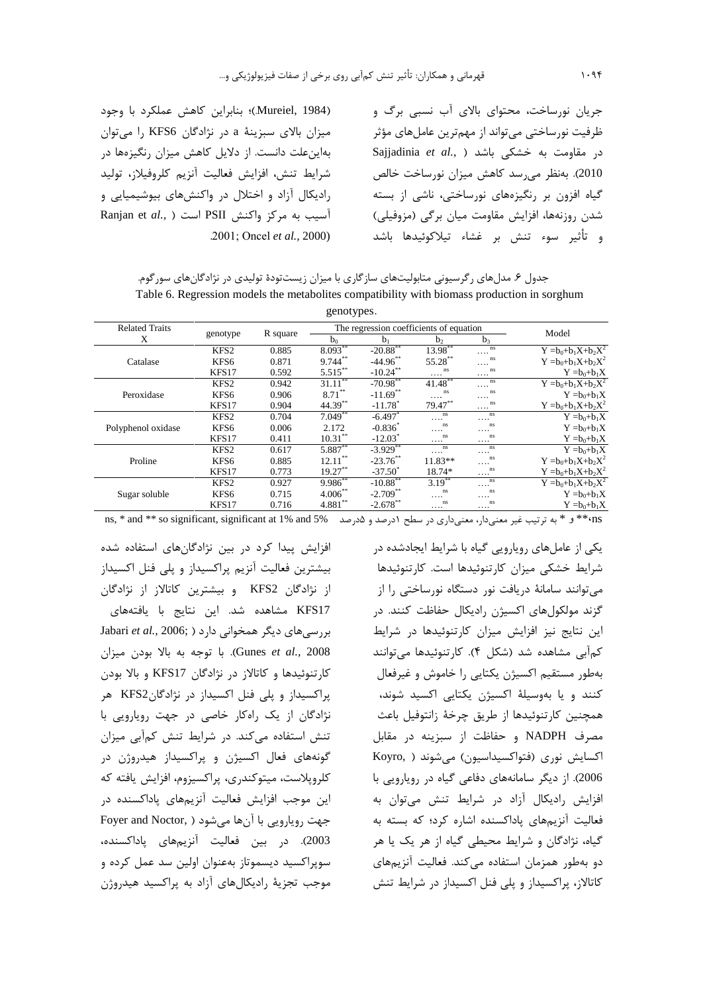(Mureiel, 1984.)؛ بنابراین کاهش عملکرد با وجود میزان بالای سبزینهٔ a در نژادگان KFS6 را میتوان بهاین علت دانست. از دلایل کاهش میزان رنگیزهها در شرايط تنش، افزايش فعاليت آنزيم كلروفيلاز، توليد رادیکال آزاد و اختلال در واکنشهای بیوشیمیایی و Ranjan et al., ) است ( PSII است ( Ranjan et al., ) .2001; Oncel et al., 2000)

جریان نورساخت، محتوای بالای آب نسبی برگ و ظرفیت نورساختی میتواند از مهمترین عاملهای مؤثر Sajjadinia et al., ) در مقاومت به خشکی باشد 2010). بەنظر مى رسد كاھش ميزان نورساخت خالص گیاه افزون بر رنگیزههای نورساختی، ناشی از بسته شدن روزنهها، افزایش مقاومت میان برگی (مزوفیلی) و تأثير سوء تنش بر غشاء تيلاكوئيدها باشد

جدول ۶. مدلهای رگرسیونی متابولیتهای سازگاری با میزان زیستتودهٔ تولیدی در نژادگانهای سورگوم. Table 6. Regression models the metabolites compatibility with biomass production in sorghum

|                       |                  |          | genotypes.     |                                         |                |                |                             |
|-----------------------|------------------|----------|----------------|-----------------------------------------|----------------|----------------|-----------------------------|
| <b>Related Traits</b> |                  |          |                | The regression coefficients of equation | Model          |                |                             |
| X                     | genotype         | R square | b <sub>0</sub> | $b_1$                                   | b <sub>2</sub> | b <sub>3</sub> |                             |
|                       | KFS <sub>2</sub> | 0.885    | $8.093***$     | $-20.88$ **                             | 13.98**        | <b>ns</b><br>. | $Y = b_0 + b_1 X + b_2 X^2$ |
| Catalase              | KFS6             | 0.871    | 9.744**        | $-44.96$ **                             | 55.28**        | <b>ns</b><br>. | $Y = b_0 + b_1 X + b_2 X^2$ |
|                       | KFS17            | 0.592    | $5.515***$     | $-10.24$ **                             | ns.<br>.       | ns<br>.        | $Y = b_0 + b_1 X$           |
|                       | KFS <sub>2</sub> | 0.942    | $31.11***$     | $-70.98**$                              | $41.48***$     | <b>ns</b><br>. | $Y = b_0 + b_1 X + b_2 X^2$ |
| Peroxidase            | KFS6             | 0.906    | $8.71***$      | $-11.69**$                              | ns.<br>.       | ns<br>.        | $Y = b_0 + b_1 X$           |
|                       | KFS17            | 0.904    | 44.39**        | $-11.78$ <sup>*</sup>                   | $79.47***$     | <b>ns</b><br>. | $Y = b_0 + b_1 X + b_2 X^2$ |
|                       | KFS <sub>2</sub> | 0.704    | $7.049**$      | $-6.497$ <sup>*</sup>                   | ns<br>.        | <b>ns</b><br>. | $Y = b_0 + b_1 X$           |
| Polyphenol oxidase    | KFS6             | 0.006    | 2.172          | $-0.836^*$                              | ns<br>.        | <b>ns</b><br>. | $Y = b_0 + b_1 X$           |
|                       | KFS17            | 0.411    | $10.31***$     | $-12.03$ <sup>*</sup>                   | <b>ns</b><br>. | <b>ns</b><br>. | $Y = b_0 + b_1 X$           |
|                       | KFS <sub>2</sub> | 0.617    | $5.887**$      | $-3.929$ **                             | <b>ns</b><br>. | <b>ns</b><br>. | $Y = b_0 + b_1 X$           |
| Proline               | KFS6             | 0.885    | $12.11***$     | $-23.76$ **                             | $11.83**$      | ns<br>.        | $Y = b_0 + b_1 X + b_2 X^2$ |
|                       | KFS17            | 0.773    | $19.27***$     | $-37.50^*$                              | 18.74*         | ns<br>.        | $Y = b_0 + b_1 X + b_2 X^2$ |
|                       | KFS <sub>2</sub> | 0.927    | $9.986^{**}$   | $-10.88$ <sup>**</sup>                  | $3.19***$      | <b>ns</b><br>. | $Y = b_0 + b_1 X + b_2 X^2$ |
| Sugar soluble         | KFS6             | 0.715    | $4.006***$     | $-2.709$ <sup>**</sup>                  | ns<br>.        | <b>ns</b><br>. | $Y = b_0 + b_1 X$           |
|                       | KFS17            | 0.716    | $4.881***$     | $-2.678$ **                             | <b>ns</b><br>. | <b>ns</b><br>. | $Y = b_0 + b_1 X$           |

ns, \* and \*\* so significant, significant at 1% and 5% محمد به هادرصد و ۵درصد معنى دارى در سطح ۱۵٫۰۵ معنى دارى در سطح ادرصد و ۵درصد

افزایش پیدا کرد در بین نژادگانهای استفاده شده بيشترين فعاليت آنزيم پراكسيداز و پلي فنل اكسيداز از نژادگان KFS2 و بیشترین کاتالاز از نژادگان KFS17 مشاهده شد. این نتایج با یافتههای Jabari et al., 2006; ) دیگر همخوانی دارد Gunes et al., 2008). با توجه به بالا بودن ميزان كارتنوئيدها و كاتالاز در نژادگان KFS17 و بالا بودن پراکسیداز و پلی فنل اکسیداز در نژادگانKFS2 هر نژادگان از یک راهکار خاصی در جهت رویارویی با تنش استفاده میکند. در شرایط تنش کمآبی میزان گونههای فعال اکسیژن و پراکسیداز هیدروژن در كلروپلاست، ميتوكندري، پراكسيزوم، افزايش يافته كه این موجب افزایش فعالیت آنزیمهای پاداکسنده در Foyer and Noctor, ) جهت رويارويي با آنها مي شود 2003). در بين فعاليت آنزيمهاي پاداكسنده، سوپراکسید دیسموتاز بهعنوان اولین سد عمل کرده و موجب تجزیهٔ رادیکالهای آزاد به پراکسید هیدروژن یکی از عاملهای رویارویی گیاه با شرایط ایجادشده در شرایط خشکی میزان کارتنوئیدها است. کارتنوئیدها میتوانند سامانهٔ دریافت نور دستگاه نورساختی را از گزند مولکولهای اکسیژن رادیکال حفاظت کنند. در این نتایج نیز افزایش میزان کارتنوئیدها در شرایط کمآبی مشاهده شد (شکل ۴). کارتنوئیدها می توانند بهطور مستقيم اكسيژن يكتايي را خاموش و غيرفعال کنند و یا بهوسیلهٔ اکسیژن یکتایی اکسید شوند، همچنین کارتنوئیدها از طریق چرخهٔ زانتوفیل باعث مصرف NADPH وحفاظت از سبزينه در مقابل اکسایش نوری (فتواکسیداسیون) می شوند ( Koyro, 2006). از دیگر سامانههای دفاعی گیاه در رویارویی با افزایش رادیکال آزاد در شرایط تنش میتوان به فعالیت آنزیمهای پاداکسنده اشاره کرد؛ که بسته به گیاه، نژادگان و شرایط محیطی گیاه از هر یک یا هر دو بهطور همزمان استفاده می کند. فعالیت آنزیمهای کاتالاز، پراکسیداز و پلی فنل اکسیداز در شرایط تنش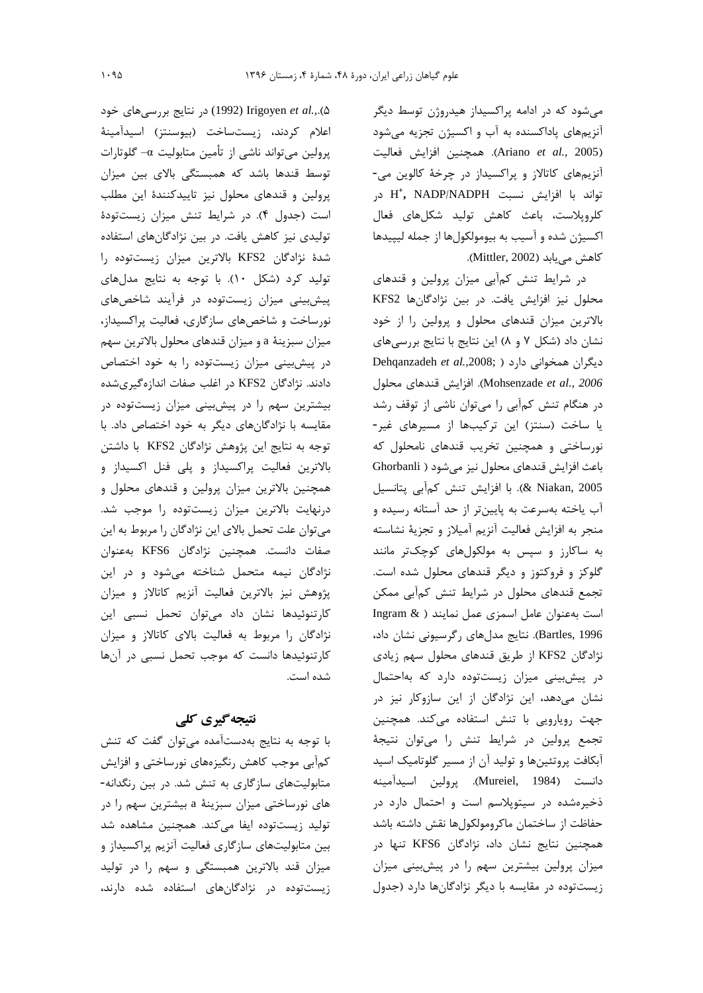می شود که در ادامه پراکسیداز هیدروژن توسط دیگر آنزیمهای پاداکسنده به آب و اکسیژن تجزیه میشود (Ariano et al., 2005). همچنین افزایش فعالیت آنزیمهای کاتالاز و پراکسیداز در چرخهٔ کالوین می-تواند با افزایش نسبت H<sup>+</sup>, NADP/NADPH در كلروپلاست، باعث كاهش توليد شكلهاى فعال اکسیژن شده و آسیب به بیومولکولها از جمله لیپیدها کاهش مے یابد (Mittler, 2002).

در شرایط تنش کمآبی میزان پرولین و قندهای محلول نيز افزايش يافت. در بين نژادگانها KFS2 بالاترین میزان قندهای محلول و پرولین را از خود نشان داد (شکل ۷ و ۸) این نتایج با نتایج بررسیهای Dehqanzadeh et al.,2008; ) دیگران همخوانی دارد Mohsenzade et al., 2006). افزايش قندهاى محلول در هنگام تنش کمآبی را میتوان ناشی از توقف رشد یا ساخت (سنتز) این ترکیبها از مسیرهای غیر-نورساختی و همچنین تخریب قندهای نامحلول که باعث افزایش قندهای محلول نیز میشود ( Ghorbanli 2005 .k Niakan, 2005). با افزايش تنش كمآبي پتانسيل آب یاخته بهسرعت به پایینتر از حد آستانه رسیده و منجر به افزایش فعالیت آنزیم آمیلاز و تجزیهٔ نشاسته به ساکارز و سپس به مولکولهای کوچکتر مانند گلوکز و فروکتوز و دیگر قندهای محلول شده است. تجمع قندهای محلول در شرایط تنش کمآبی ممکن است به عنوان عامل اسمزى عمل نمايند ( & Ingram Bartles, 1996). نتایج مدلهای رگرسیونی نشان داد، نژادگان KFS2 از طریق قندهای محلول سهم زیادی در پیشبینی میزان زیستتوده دارد که بهاحتمال نشان میدهد، این نژادگان از این سازوکار نیز در جهت رویارویی با تنش استفاده میکند. همچنین تجمع پرولین در شرایط تنش را میتوان نتیجهٔ آبکافت پروتئینها و تولید آن از مسیر گلوتامیک اسید دانست (Mureiel, 1984). پرولين اسيدآمينه ذخیرهشده در سیتوپلاسم است و احتمال دارد در حفاظت از ساختمان ماكرومولكولها نقش داشته باشد همچنین نتایج نشان داد، نژادگان KFS6 تنها در میزان پرولین بیشترین سهم را در پیشبینی میزان زیستتوده در مقایسه با دیگر نژادگانها دارد (جدول

۵).,.Irigoyen et al (1992) در نتايج بررسي هاي خود اعلام كردند، زيستساخت (بيوسنتز) اسيدآمينهٔ پرولین می تواند ناشی از تأمین متابولیت α– گلوتارات توسط قندها باشد که همبستگی بالای بین میزان پرولین و قندهای محلول نیز تاییدکنندهٔ این مطلب است (جدول ۴). در شرايط تنش ميزان زيستتودة تولیدی نیز کاهش یافت. در بین نژادگانهای استفاده شدهٔ نژادگان KFS2 بالاترین میزان زیستتوده را تولید کرد (شکل ١٠). با توجه به نتایج مدل های پیش بینی میزان زیستتوده در فرآیند شاخصهای نورساخت و شاخصهای سازگاری، فعالیت پراکسیداز، میزان سبزینهٔ a و میزان قندهای محلول بالاترین سهم در پیشبینی میزان زیستتوده را به خود اختصاص دادند. نژادگان KFS2 در اغلب صفات اندازهگیریشده بیشترین سهم را در پیشبینی میزان زیستتوده در مقایسه با نژادگانهای دیگر به خود اختصاص داد. با توجه به نتايج اين پژوهش نژادگان KFS2 با داشتن بالاترین فعالیت پراکسیداز و پلی فنل اکسیداز و همچنین بالاترین میزان پرولین و قندهای محلول و درنهایت بالاترین میزان زیستتوده را موجب شد. می توان علت تحمل بالای این نژادگان را مربوط به این صفات دانست. همچنین نژادگان KFS6 بهعنوان نژادگان نیمه متحمل شناخته می شود و در این پژوهش نیز بالاترین فعالیت آنزیم کاتالاز و میزان کارتنوئیدها نشان داد میتوان تحمل نسبی این نژادگان را مربوط به فعالیت بالای کاتالاز و میزان كارتنوئيدها دانست كه موجب تحمل نسبى در آنها شده است.

## نتیجه گیری کلی

با توجه به نتايج بهدستآمده مي توان گفت كه تنش کمآبی موجب کاهش رنگیزههای نورساختی و افزایش متابولیتهای سازگاری به تنش شد. در بین رنگدانه-های نورساختی میزان سبزینهٔ a بیشترین سهم را در تولید زیستتوده ایفا میکند. همچنین مشاهده شد بین متابولیتهای سازگاری فعالیت آنزیم پراکسیداز و میزان قند بالاترین همبستگی و سهم را در تولید زیستتوده در نژادگانهای استفاده شده دارند،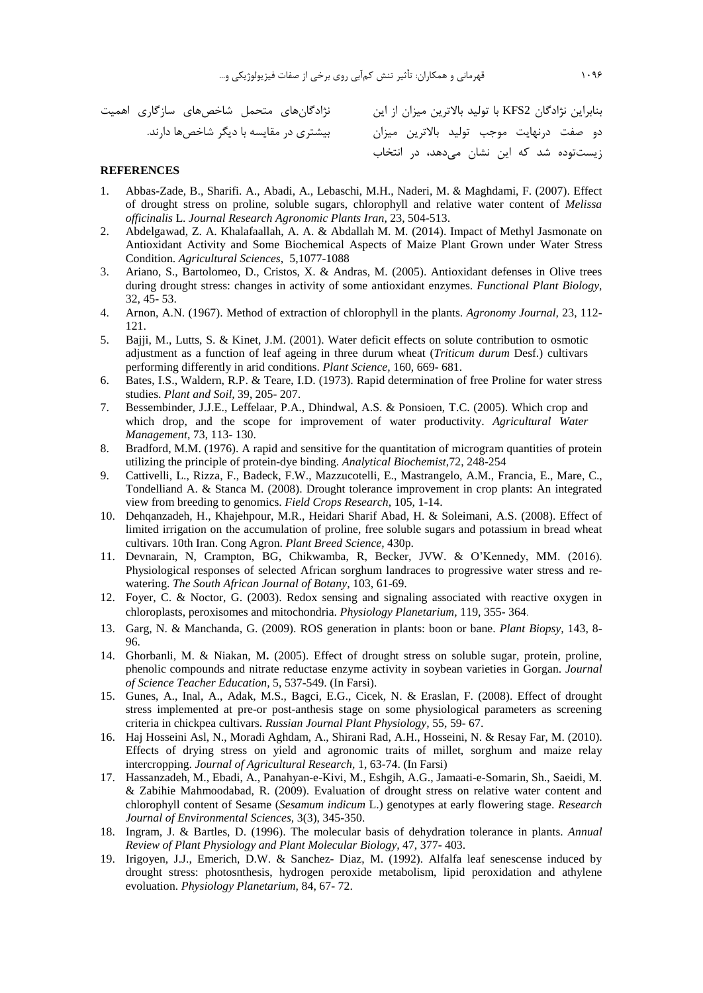بیشتری در مقایسه با دیگر شاخصها دارند.

بنابراین نژادگان KFS2 با تولید بالاترین میزان از این مسل نژادگانهای متحمل شاخصهای سازگاری اهمیت دو صفت درنهایت موجب تولید بالاترین میزان .<br>زیستتوده شد که این نشان مے،دهد، د<sub>ر</sub> انتخاب

#### **REFERENCES**

- Abbas-Zade, B., Sharifi. A., Abadi, A., Lebaschi, M.H., Naderi, M. & Maghdami, F. (2007). Effect  $\mathbf{1}$ of drought stress on proline, soluble sugars, chlorophyll and relative water content of Melissa officinalis L. Journal Research Agronomic Plants Iran, 23, 504-513.
- Abdelgawad, Z. A. Khalafaallah, A. A. & Abdallah M. M. (2014). Impact of Methyl Jasmonate on 2. Antioxidant Activity and Some Biochemical Aspects of Maize Plant Grown under Water Stress Condition. Agricultural Sciences, 5.1077-1088
- Ariano, S., Bartolomeo, D., Cristos, X. & Andras, M. (2005). Antioxidant defenses in Olive trees  $\mathcal{E}$ during drought stress: changes in activity of some antioxidant enzymes. Functional Plant Biology, 32, 45 - 53.
- 4. Arnon, A.N. (1967). Method of extraction of chlorophyll in the plants. Agronomy Journal, 23, 112-121.
- Baiji, M., Lutts, S. & Kinet, J.M. (2001). Water deficit effects on solute contribution to osmotic  $5<sub>1</sub>$ adjustment as a function of leaf ageing in three durum wheat (*Triticum durum Desf.*) cultivars performing differently in arid conditions. Plant Science, 160, 669-681.
- Bates, I.S., Waldern, R.P. & Teare, I.D. (1973). Rapid determination of free Proline for water stress 6 studies. Plant and Soil. 39, 205-207.
- Bessembinder, J.J.E., Leffelaar, P.A., Dhindwal, A.S. & Ponsioen, T.C. (2005). Which crop and 7. which drop, and the scope for improvement of water productivity. Agricultural Water Management, 73, 113-130.
- Bradford, M.M. (1976). A rapid and sensitive for the quantitation of microgram quantities of protein 8. utilizing the principle of protein-dye binding. Analytical Biochemist, 72, 248-254
- Cattivelli, L., Rizza, F., Badeck, F.W., Mazzucotelli, E., Mastrangelo, A.M., Francia, E., Mare, C., 9. Tondelliand A. & Stanca M. (2008). Drought tolerance improvement in crop plants: An integrated view from breeding to genomics. Field Crops Research, 105, 1-14.
- 10. Dehqanzadeh, H., Khajehpour, M.R., Heidari Sharif Abad, H. & Soleimani, A.S. (2008). Effect of limited irrigation on the accumulation of proline, free soluble sugars and potassium in bread wheat cultivars. 10th Iran. Cong Agron. Plant Breed Science, 430p.
- 11. Devnarain, N, Crampton, BG, Chikwamba, R, Becker, JVW. & O'Kennedy, MM. (2016). Physiological responses of selected African sorghum landraces to progressive water stress and rewatering. The South African Journal of Botany, 103, 61-69.
- 12. Foyer, C. & Noctor, G. (2003). Redox sensing and signaling associated with reactive oxygen in chloroplasts, peroxisomes and mitochondria. Physiology Planetarium, 119, 355-364.
- 13. Garg, N. & Manchanda, G. (2009). ROS generation in plants: boon or bane. Plant Biopsy, 143, 8-96.
- 14. Ghorbanli, M. & Niakan, M. (2005). Effect of drought stress on soluble sugar, protein, proline, phenolic compounds and nitrate reductase enzyme activity in soybean varieties in Gorgan. Journal of Science Teacher Education, 5, 537-549. (In Farsi).
- 15. Gunes, A., Inal, A., Adak, M.S., Bagci, E.G., Cicek, N. & Eraslan, F. (2008). Effect of drought stress implemented at pre-or post-anthesis stage on some physiological parameters as screening criteria in chickpea cultivars. Russian Journal Plant Physiology, 55, 59- 67.
- 16. Haj Hosseini Asl, N., Moradi Aghdam, A., Shirani Rad, A.H., Hosseini, N. & Resay Far, M. (2010). Effects of drying stress on yield and agronomic traits of millet, sorghum and maize relay intercropping. Journal of Agricultural Research, 1, 63-74. (In Farsi)
- 17. Hassanzadeh, M., Ebadi, A., Panahyan-e-Kivi, M., Eshgih, A.G., Jamaati-e-Somarin, Sh., Saeidi, M. & Zabihie Mahmoodabad, R. (2009). Evaluation of drought stress on relative water content and chlorophyll content of Sesame (Sesamum indicum L.) genotypes at early flowering stage. Research Journal of Environmental Sciences, 3(3), 345-350.
- 18. Ingram, J. & Bartles, D. (1996). The molecular basis of dehydration tolerance in plants. Annual Review of Plant Physiology and Plant Molecular Biology, 47, 377-403.
- 19. Irigoyen, J.J., Emerich, D.W. & Sanchez- Diaz, M. (1992). Alfalfa leaf senescense induced by drought stress: photosnthesis, hydrogen peroxide metabolism, lipid peroxidation and athylene evoluation. Physiology Planetarium, 84, 67-72.